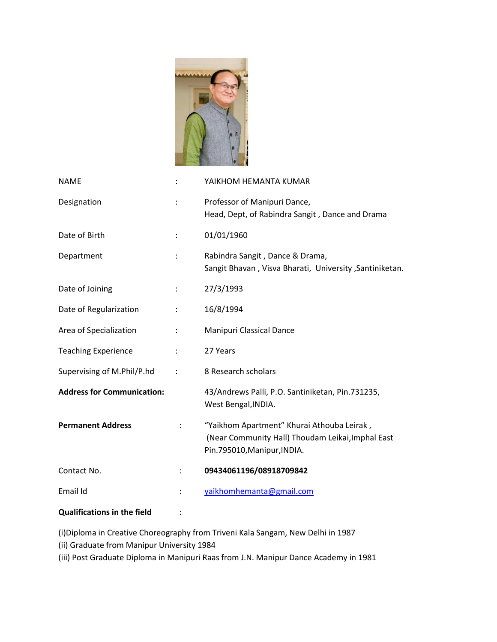

| <b>NAME</b>                        |                      | YAIKHOM HEMANTA KUMAR                                                                                                          |
|------------------------------------|----------------------|--------------------------------------------------------------------------------------------------------------------------------|
| Designation                        | $\ddot{\phantom{a}}$ | Professor of Manipuri Dance,<br>Head, Dept, of Rabindra Sangit, Dance and Drama                                                |
| Date of Birth                      |                      | 01/01/1960                                                                                                                     |
| Department                         |                      | Rabindra Sangit, Dance & Drama,<br>Sangit Bhavan, Visva Bharati, University, Santiniketan.                                     |
| Date of Joining                    | $\ddot{\cdot}$       | 27/3/1993                                                                                                                      |
| Date of Regularization             |                      | 16/8/1994                                                                                                                      |
| Area of Specialization             | $\vdots$             | <b>Manipuri Classical Dance</b>                                                                                                |
| <b>Teaching Experience</b>         |                      | 27 Years                                                                                                                       |
| Supervising of M.Phil/P.hd         | $\ddot{\cdot}$       | 8 Research scholars                                                                                                            |
| <b>Address for Communication:</b>  |                      | 43/Andrews Palli, P.O. Santiniketan, Pin.731235,<br>West Bengal, INDIA.                                                        |
| <b>Permanent Address</b>           |                      | "Yaikhom Apartment" Khurai Athouba Leirak,<br>(Near Community Hall) Thoudam Leikai, Imphal East<br>Pin.795010, Manipur, INDIA. |
| Contact No.                        | ÷                    | 09434061196/08918709842                                                                                                        |
| Email Id                           |                      | yaikhomhemanta@gmail.com                                                                                                       |
| <b>Qualifications in the field</b> |                      |                                                                                                                                |

(i)Diploma in Creative Choreography from Triveni Kala Sangam, New Delhi in 1987

(ii) Graduate from Manipur University 1984

(iii) Post Graduate Diploma in Manipuri Raas from J.N. Manipur Dance Academy in 1981